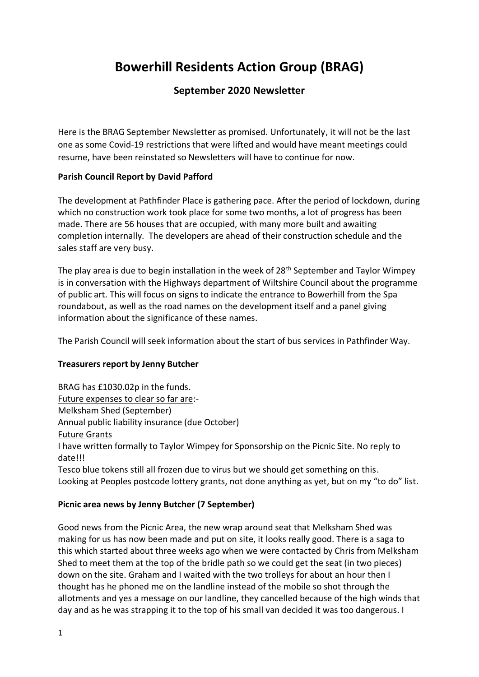# **Bowerhill Residents Action Group (BRAG)**

# **September 2020 Newsletter**

Here is the BRAG September Newsletter as promised. Unfortunately, it will not be the last one as some Covid-19 restrictions that were lifted and would have meant meetings could resume, have been reinstated so Newsletters will have to continue for now.

## **Parish Council Report by David Pafford**

The development at Pathfinder Place is gathering pace. After the period of lockdown, during which no construction work took place for some two months, a lot of progress has been made. There are 56 houses that are occupied, with many more built and awaiting completion internally. The developers are ahead of their construction schedule and the sales staff are very busy.

The play area is due to begin installation in the week of 28<sup>th</sup> September and Taylor Wimpey is in conversation with the Highways department of Wiltshire Council about the programme of public art. This will focus on signs to indicate the entrance to Bowerhill from the Spa roundabout, as well as the road names on the development itself and a panel giving information about the significance of these names.

The Parish Council will seek information about the start of bus services in Pathfinder Way.

## **Treasurers report by Jenny Butcher**

BRAG has £1030.02p in the funds. Future expenses to clear so far are:- Melksham Shed (September) Annual public liability insurance (due October) Future Grants I have written formally to Taylor Wimpey for Sponsorship on the Picnic Site. No reply to date!!! Tesco blue tokens still all frozen due to virus but we should get something on this. Looking at Peoples postcode lottery grants, not done anything as yet, but on my "to do" list.

## **Picnic area news by Jenny Butcher (7 September)**

Good news from the Picnic Area, the new wrap around seat that Melksham Shed was making for us has now been made and put on site, it looks really good. There is a saga to this which started about three weeks ago when we were contacted by Chris from Melksham Shed to meet them at the top of the bridle path so we could get the seat (in two pieces) down on the site. Graham and I waited with the two trolleys for about an hour then I thought has he phoned me on the landline instead of the mobile so shot through the allotments and yes a message on our landline, they cancelled because of the high winds that day and as he was strapping it to the top of his small van decided it was too dangerous. I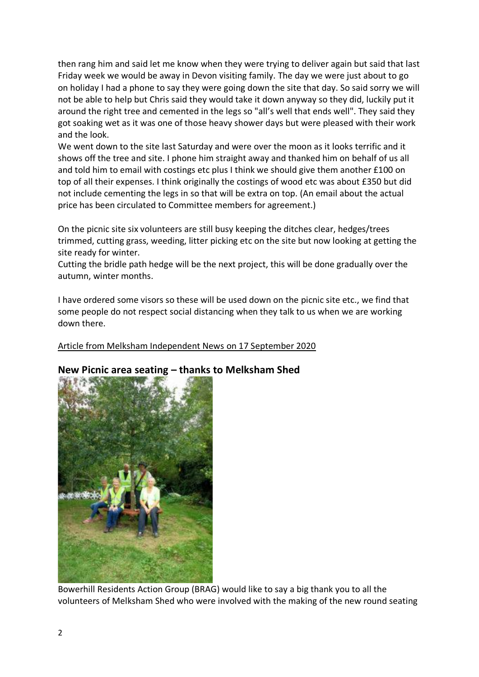then rang him and said let me know when they were trying to deliver again but said that last Friday week we would be away in Devon visiting family. The day we were just about to go on holiday I had a phone to say they were going down the site that day. So said sorry we will not be able to help but Chris said they would take it down anyway so they did, luckily put it around the right tree and cemented in the legs so "all's well that ends well". They said they got soaking wet as it was one of those heavy shower days but were pleased with their work and the look.

We went down to the site last Saturday and were over the moon as it looks terrific and it shows off the tree and site. I phone him straight away and thanked him on behalf of us all and told him to email with costings etc plus I think we should give them another £100 on top of all their expenses. I think originally the costings of wood etc was about £350 but did not include cementing the legs in so that will be extra on top. (An email about the actual price has been circulated to Committee members for agreement.)

On the picnic site six volunteers are still busy keeping the ditches clear, hedges/trees trimmed, cutting grass, weeding, litter picking etc on the site but now looking at getting the site ready for winter.

Cutting the bridle path hedge will be the next project, this will be done gradually over the autumn, winter months.

I have ordered some visors so these will be used down on the picnic site etc., we find that some people do not respect social distancing when they talk to us when we are working down there.

## Article from Melksham Independent News on 17 September 2020



## **New Picnic area seating – thanks to Melksham Shed**

Bowerhill Residents Action Group (BRAG) would like to say a big thank you to all the volunteers of Melksham Shed who were involved with the making of the new round seating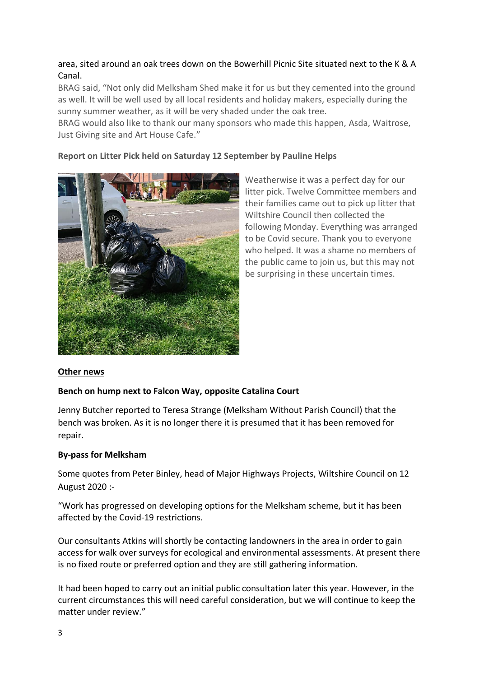## area, sited around an oak trees down on the Bowerhill Picnic Site situated next to the K & A Canal.

BRAG said, "Not only did Melksham Shed make it for us but they cemented into the ground as well. It will be well used by all local residents and holiday makers, especially during the sunny summer weather, as it will be very shaded under the oak tree.

BRAG would also like to thank our many sponsors who made this happen, Asda, Waitrose, Just Giving site and Art House Cafe."

## **Report on Litter Pick held on Saturday 12 September by Pauline Helps**



Weatherwise it was a perfect day for our litter pick. Twelve Committee members and their families came out to pick up litter that Wiltshire Council then collected the following Monday. Everything was arranged to be Covid secure. Thank you to everyone who helped. It was a shame no members of the public came to join us, but this may not be surprising in these uncertain times.

## **Other news**

## **Bench on hump next to Falcon Way, opposite Catalina Court**

Jenny Butcher reported to Teresa Strange (Melksham Without Parish Council) that the bench was broken. As it is no longer there it is presumed that it has been removed for repair.

## **By-pass for Melksham**

Some quotes from Peter Binley, head of Major Highways Projects, Wiltshire Council on 12 August 2020 :-

"Work has progressed on developing options for the Melksham scheme, but it has been affected by the Covid-19 restrictions.

Our consultants Atkins will shortly be contacting landowners in the area in order to gain access for walk over surveys for ecological and environmental assessments. At present there is no fixed route or preferred option and they are still gathering information.

It had been hoped to carry out an initial public consultation later this year. However, in the current circumstances this will need careful consideration, but we will continue to keep the matter under review."